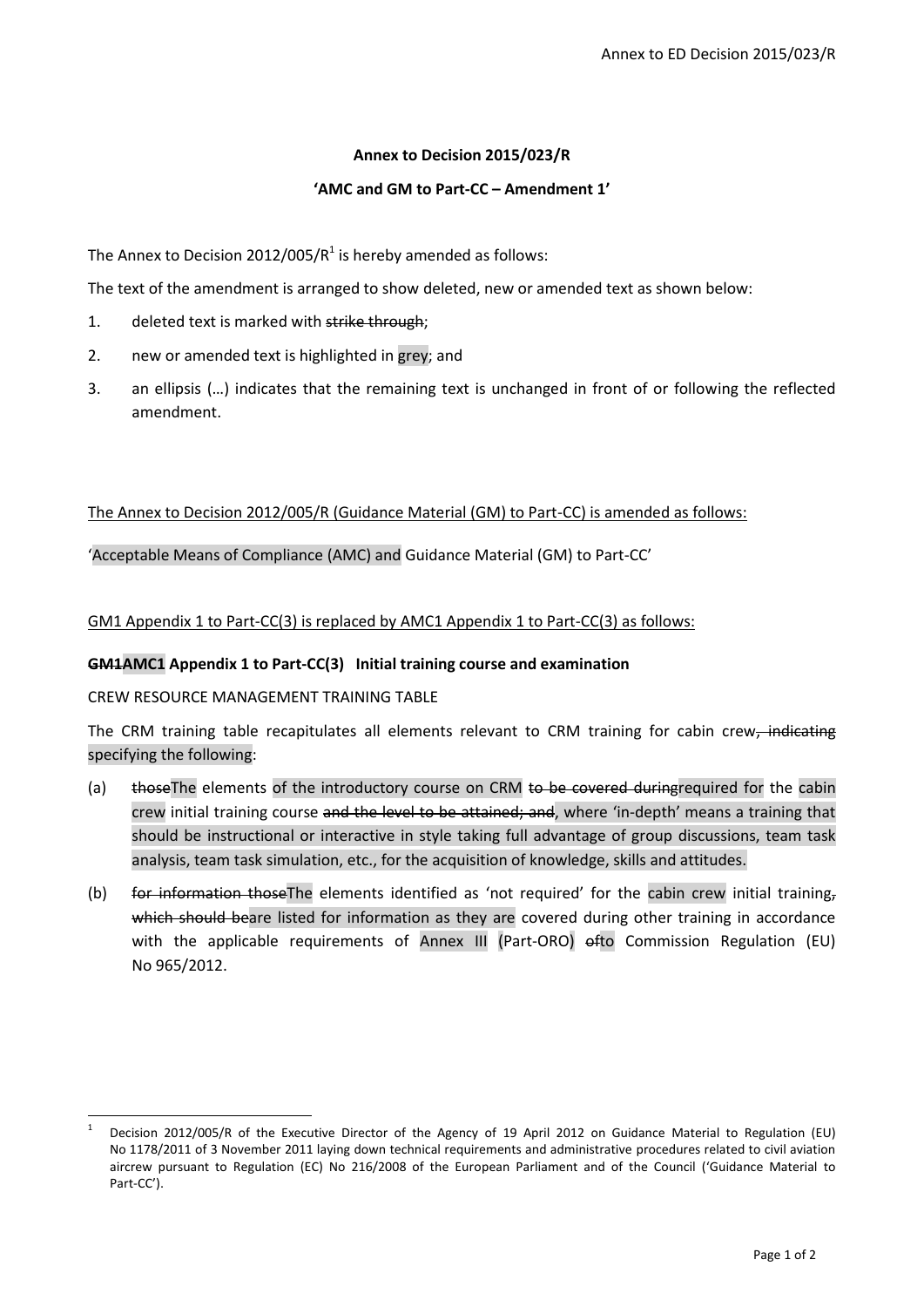## **Annex to Decision 2015/023/R**

## **'AMC and GM to Part-CC – Amendment 1'**

The Annex to Decision 2012/005/ $R^1$  is hereby amended as follows:

The text of the amendment is arranged to show deleted, new or amended text as shown below:

- 1. deleted text is marked with strike through:
- 2. new or amended text is highlighted in grey; and
- 3. an ellipsis (…) indicates that the remaining text is unchanged in front of or following the reflected amendment.

# The Annex to Decision 2012/005/R (Guidance Material (GM) to Part-CC) is amended as follows:

'Acceptable Means of Compliance (AMC) and Guidance Material (GM) to Part-CC'

GM1 Appendix 1 to Part-CC(3) is replaced by AMC1 Appendix 1 to Part-CC(3) as follows:

### **GM1AMC1 Appendix 1 to Part-CC(3) Initial training course and examination**

### CREW RESOURCE MANAGEMENT TRAINING TABLE

**.** 

The CRM training table recapitulates all elements relevant to CRM training for cabin crew, indicating specifying the following:

- (a) thoseThe elements of the introductory course on CRM to be covered duringrequired for the cabin crew initial training course and the level to be attained; and, where 'in-depth' means a training that should be instructional or interactive in style taking full advantage of group discussions, team task analysis, team task simulation, etc., for the acquisition of knowledge, skills and attitudes.
- (b) for information thoseThe elements identified as 'not required' for the cabin crew initial training, which should beare listed for information as they are covered during other training in accordance with the applicable requirements of Annex III (Part-ORO) ofto Commission Regulation (EU) No 965/2012.

<sup>1</sup> Decision 2012/005/R of the Executive Director of the Agency of 19 April 2012 on Guidance Material to Regulation (EU) No 1178/2011 of 3 November 2011 laying down technical requirements and administrative procedures related to civil aviation aircrew pursuant to Regulation (EC) No 216/2008 of the European Parliament and of the Council ('Guidance Material to Part-CC').